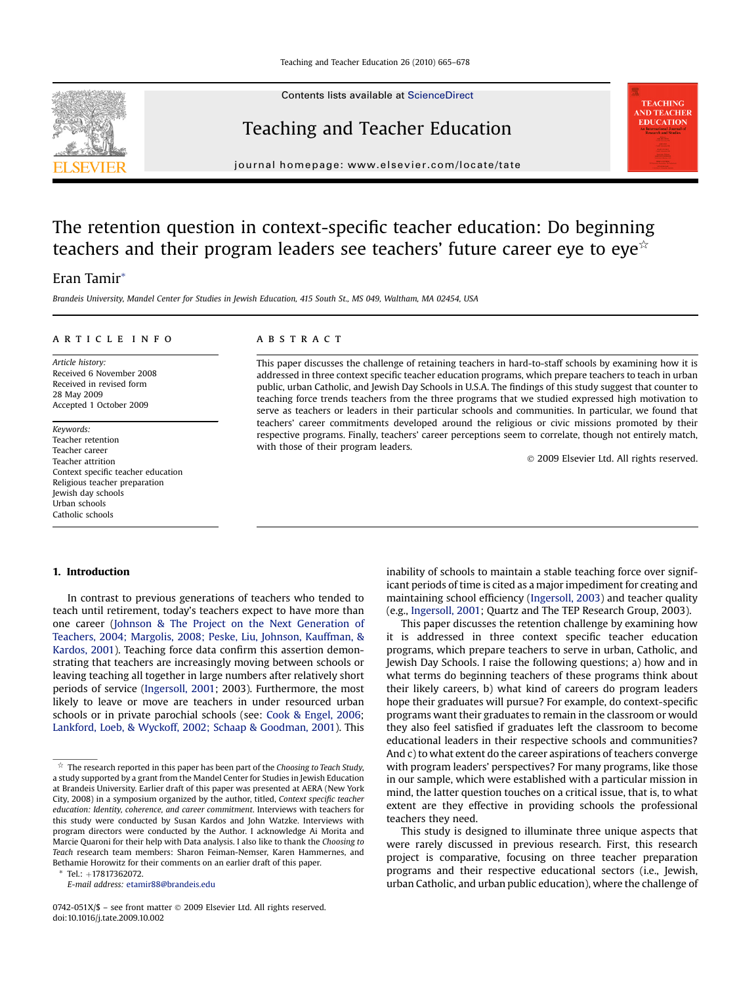

Contents lists available at [ScienceDirect](www.sciencedirect.com/science/journal/0742051X)

## Teaching and Teacher Education

journal homepage:<www.elsevier.com/locate/tate>

# The retention question in context-specific teacher education: Do beginning teachers and their program leaders see teachers' future career eye to eye $\dot{\alpha}$

## Eran Tamir\*

Brandeis University, Mandel Center for Studies in Jewish Education, 415 South St., MS 049, Waltham, MA 02454, USA

## article info

Article history: Received 6 November 2008 Received in revised form 28 May 2009 Accepted 1 October 2009

Keywords: Teacher retention Teacher career Teacher attrition Context specific teacher education Religious teacher preparation Jewish day schools Urban schools Catholic schools

#### **ABSTRACT**

This paper discusses the challenge of retaining teachers in hard-to-staff schools by examining how it is addressed in three context specific teacher education programs, which prepare teachers to teach in urban public, urban Catholic, and Jewish Day Schools in U.S.A. The findings of this study suggest that counter to teaching force trends teachers from the three programs that we studied expressed high motivation to serve as teachers or leaders in their particular schools and communities. In particular, we found that teachers' career commitments developed around the religious or civic missions promoted by their respective programs. Finally, teachers' career perceptions seem to correlate, though not entirely match, with those of their program leaders.

- 2009 Elsevier Ltd. All rights reserved.

**TEACHING AND TEACHER EDUCATION** 

## 1. Introduction

In contrast to previous generations of teachers who tended to teach until retirement, today's teachers expect to have more than one career ([Johnson & The Project on the Next Generation of](#page-13-0) [Teachers, 2004; Margolis, 2008; Peske, Liu, Johnson, Kauffman, &](#page-13-0) [Kardos, 2001](#page-13-0)). Teaching force data confirm this assertion demonstrating that teachers are increasingly moving between schools or leaving teaching all together in large numbers after relatively short periods of service ([Ingersoll, 2001](#page-13-0); 2003). Furthermore, the most likely to leave or move are teachers in under resourced urban schools or in private parochial schools (see: [Cook & Engel, 2006;](#page-13-0) [Lankford, Loeb, & Wyckoff, 2002; Schaap & Goodman, 2001](#page-13-0)). This

Tel.: +17817362072.

E-mail address: [etamir88@brandeis.edu](mailto:etamir88@brandeis.edu)

0742-051X/\$ – see front matter © 2009 Elsevier Ltd. All rights reserved. doi:10.1016/j.tate.2009.10.002

inability of schools to maintain a stable teaching force over significant periods of time is cited as a major impediment for creating and maintaining school efficiency ([Ingersoll, 2003](#page-13-0)) and teacher quality (e.g., [Ingersoll, 2001](#page-13-0); Quartz and The TEP Research Group, 2003).

This paper discusses the retention challenge by examining how it is addressed in three context specific teacher education programs, which prepare teachers to serve in urban, Catholic, and Jewish Day Schools. I raise the following questions; a) how and in what terms do beginning teachers of these programs think about their likely careers, b) what kind of careers do program leaders hope their graduates will pursue? For example, do context-specific programs want their graduates to remain in the classroom or would they also feel satisfied if graduates left the classroom to become educational leaders in their respective schools and communities? And c) to what extent do the career aspirations of teachers converge with program leaders' perspectives? For many programs, like those in our sample, which were established with a particular mission in mind, the latter question touches on a critical issue, that is, to what extent are they effective in providing schools the professional teachers they need.

This study is designed to illuminate three unique aspects that were rarely discussed in previous research. First, this research project is comparative, focusing on three teacher preparation programs and their respective educational sectors (i.e., Jewish, urban Catholic, and urban public education), where the challenge of

 $\overrightarrow{x}$  The research reported in this paper has been part of the Choosing to Teach Study, a study supported by a grant from the Mandel Center for Studies in Jewish Education at Brandeis University. Earlier draft of this paper was presented at AERA (New York City, 2008) in a symposium organized by the author, titled, Context specific teacher education: Identity, coherence, and career commitment. Interviews with teachers for this study were conducted by Susan Kardos and John Watzke. Interviews with program directors were conducted by the Author. I acknowledge Ai Morita and Marcie Quaroni for their help with Data analysis. I also like to thank the Choosing to Teach research team members: Sharon Feiman-Nemser, Karen Hammernes, and Bethamie Horowitz for their comments on an earlier draft of this paper.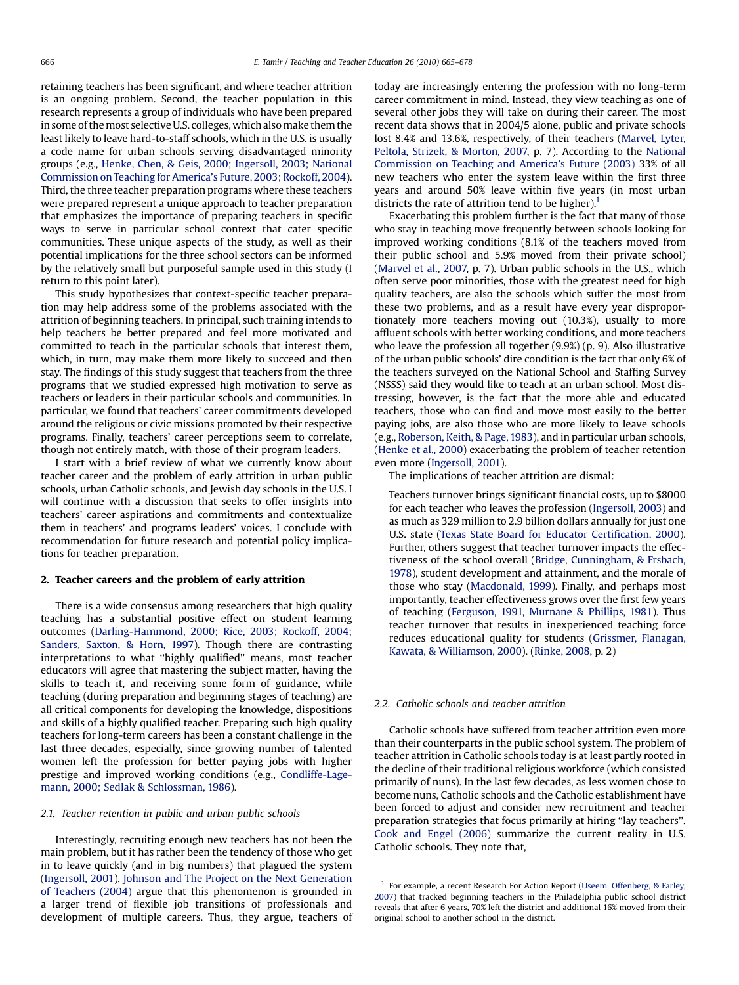retaining teachers has been significant, and where teacher attrition is an ongoing problem. Second, the teacher population in this research represents a group of individuals who have been prepared in some of the most selective U.S. colleges, which also make them the least likely to leave hard-to-staff schools, which in the U.S. is usually a code name for urban schools serving disadvantaged minority groups (e.g., [Henke, Chen, & Geis, 2000; Ingersoll, 2003; National](#page-13-0) [Commission on Teaching for America's Future, 2003; Rockoff, 2004\)](#page-13-0). Third, the three teacher preparation programs where these teachers were prepared represent a unique approach to teacher preparation that emphasizes the importance of preparing teachers in specific ways to serve in particular school context that cater specific communities. These unique aspects of the study, as well as their potential implications for the three school sectors can be informed by the relatively small but purposeful sample used in this study (I return to this point later).

This study hypothesizes that context-specific teacher preparation may help address some of the problems associated with the attrition of beginning teachers. In principal, such training intends to help teachers be better prepared and feel more motivated and committed to teach in the particular schools that interest them, which, in turn, may make them more likely to succeed and then stay. The findings of this study suggest that teachers from the three programs that we studied expressed high motivation to serve as teachers or leaders in their particular schools and communities. In particular, we found that teachers' career commitments developed around the religious or civic missions promoted by their respective programs. Finally, teachers' career perceptions seem to correlate, though not entirely match, with those of their program leaders.

I start with a brief review of what we currently know about teacher career and the problem of early attrition in urban public schools, urban Catholic schools, and Jewish day schools in the U.S. I will continue with a discussion that seeks to offer insights into teachers' career aspirations and commitments and contextualize them in teachers' and programs leaders' voices. I conclude with recommendation for future research and potential policy implications for teacher preparation.

#### 2. Teacher careers and the problem of early attrition

There is a wide consensus among researchers that high quality teaching has a substantial positive effect on student learning outcomes ([Darling-Hammond, 2000; Rice, 2003; Rockoff, 2004;](#page-13-0) [Sanders, Saxton, & Horn, 1997](#page-13-0)). Though there are contrasting interpretations to what ''highly qualified'' means, most teacher educators will agree that mastering the subject matter, having the skills to teach it, and receiving some form of guidance, while teaching (during preparation and beginning stages of teaching) are all critical components for developing the knowledge, dispositions and skills of a highly qualified teacher. Preparing such high quality teachers for long-term careers has been a constant challenge in the last three decades, especially, since growing number of talented women left the profession for better paying jobs with higher prestige and improved working conditions (e.g., [Condliffe-Lage](#page-12-0)[mann, 2000; Sedlak & Schlossman, 1986\)](#page-12-0).

#### 2.1. Teacher retention in public and urban public schools

Interestingly, recruiting enough new teachers has not been the main problem, but it has rather been the tendency of those who get in to leave quickly (and in big numbers) that plagued the system ([Ingersoll, 2001\)](#page-13-0). [Johnson and The Project on the Next Generation](#page-13-0) [of Teachers \(2004\)](#page-13-0) argue that this phenomenon is grounded in a larger trend of flexible job transitions of professionals and development of multiple careers. Thus, they argue, teachers of today are increasingly entering the profession with no long-term career commitment in mind. Instead, they view teaching as one of several other jobs they will take on during their career. The most recent data shows that in 2004/5 alone, public and private schools lost 8.4% and 13.6%, respectively, of their teachers [\(Marvel, Lyter,](#page-13-0) [Peltola, Strizek, & Morton, 2007,](#page-13-0) p. 7). According to the [National](#page-13-0) [Commission on Teaching and America's Future \(2003\)](#page-13-0) 33% of all new teachers who enter the system leave within the first three years and around 50% leave within five years (in most urban districts the rate of attrition tend to be higher).<sup>1</sup>

Exacerbating this problem further is the fact that many of those who stay in teaching move frequently between schools looking for improved working conditions (8.1% of the teachers moved from their public school and 5.9% moved from their private school) ([Marvel et al., 2007,](#page-13-0) p. 7). Urban public schools in the U.S., which often serve poor minorities, those with the greatest need for high quality teachers, are also the schools which suffer the most from these two problems, and as a result have every year disproportionately more teachers moving out (10.3%), usually to more affluent schools with better working conditions, and more teachers who leave the profession all together (9.9%) (p. 9). Also illustrative of the urban public schools' dire condition is the fact that only 6% of the teachers surveyed on the National School and Staffing Survey (NSSS) said they would like to teach at an urban school. Most distressing, however, is the fact that the more able and educated teachers, those who can find and move most easily to the better paying jobs, are also those who are more likely to leave schools (e.g., [Roberson, Keith, & Page, 1983\)](#page-13-0), and in particular urban schools, ([Henke et al., 2000](#page-13-0)) exacerbating the problem of teacher retention even more ([Ingersoll, 2001\)](#page-13-0).

The implications of teacher attrition are dismal:

Teachers turnover brings significant financial costs, up to \$8000 for each teacher who leaves the profession ([Ingersoll, 2003\)](#page-13-0) and as much as 329 million to 2.9 billion dollars annually for just one U.S. state [\(Texas State Board for Educator Certification, 2000\)](#page-13-0). Further, others suggest that teacher turnover impacts the effectiveness of the school overall [\(Bridge, Cunningham, & Frsbach,](#page-12-0) [1978](#page-12-0)), student development and attainment, and the morale of those who stay ([Macdonald, 1999\)](#page-13-0). Finally, and perhaps most importantly, teacher effectiveness grows over the first few years of teaching [\(Ferguson, 1991, Murnane & Phillips, 1981](#page-13-0)). Thus teacher turnover that results in inexperienced teaching force reduces educational quality for students [\(Grissmer, Flanagan,](#page-13-0) [Kawata, & Williamson, 2000\)](#page-13-0). ([Rinke, 2008](#page-13-0), p. 2)

#### 2.2. Catholic schools and teacher attrition

Catholic schools have suffered from teacher attrition even more than their counterparts in the public school system. The problem of teacher attrition in Catholic schools today is at least partly rooted in the decline of their traditional religious workforce (which consisted primarily of nuns). In the last few decades, as less women chose to become nuns, Catholic schools and the Catholic establishment have been forced to adjust and consider new recruitment and teacher preparation strategies that focus primarily at hiring ''lay teachers''. [Cook and Engel \(2006\)](#page-13-0) summarize the current reality in U.S. Catholic schools. They note that,

<sup>&</sup>lt;sup>1</sup> For example, a recent Research For Action Report ([Useem, Offenberg, & Farley,](#page-13-0) [2007](#page-13-0)) that tracked beginning teachers in the Philadelphia public school district reveals that after 6 years, 70% left the district and additional 16% moved from their original school to another school in the district.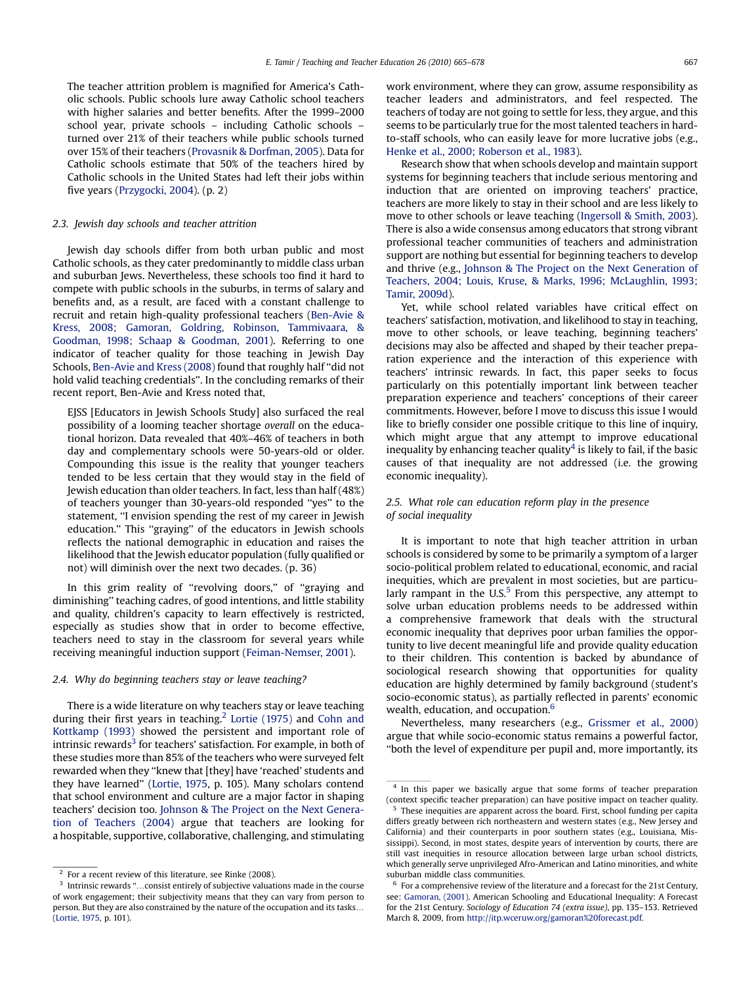The teacher attrition problem is magnified for America's Catholic schools. Public schools lure away Catholic school teachers with higher salaries and better benefits. After the 1999–2000 school year, private schools – including Catholic schools – turned over 21% of their teachers while public schools turned over 15% of their teachers ([Provasnik & Dorfman, 2005\)](#page-13-0). Data for Catholic schools estimate that 50% of the teachers hired by Catholic schools in the United States had left their jobs within five years ([Przygocki, 2004\)](#page-13-0). (p. 2)

## 2.3. Jewish day schools and teacher attrition

Jewish day schools differ from both urban public and most Catholic schools, as they cater predominantly to middle class urban and suburban Jews. Nevertheless, these schools too find it hard to compete with public schools in the suburbs, in terms of salary and benefits and, as a result, are faced with a constant challenge to recruit and retain high-quality professional teachers ([Ben-Avie &](#page-12-0) [Kress, 2008; Gamoran, Goldring, Robinson, Tammivaara, &](#page-12-0) [Goodman, 1998; Schaap & Goodman, 2001](#page-12-0)). Referring to one indicator of teacher quality for those teaching in Jewish Day Schools, [Ben-Avie and Kress \(2008\)](#page-12-0) found that roughly half ''did not hold valid teaching credentials''. In the concluding remarks of their recent report, Ben-Avie and Kress noted that,

EJSS [Educators in Jewish Schools Study] also surfaced the real possibility of a looming teacher shortage overall on the educational horizon. Data revealed that 40%–46% of teachers in both day and complementary schools were 50-years-old or older. Compounding this issue is the reality that younger teachers tended to be less certain that they would stay in the field of Jewish education than older teachers. In fact, less than half (48%) of teachers younger than 30-years-old responded ''yes'' to the statement, ''I envision spending the rest of my career in Jewish education.'' This ''graying'' of the educators in Jewish schools reflects the national demographic in education and raises the likelihood that the Jewish educator population (fully qualified or not) will diminish over the next two decades. (p. 36)

In this grim reality of ''revolving doors,'' of ''graying and diminishing'' teaching cadres, of good intentions, and little stability and quality, children's capacity to learn effectively is restricted, especially as studies show that in order to become effective, teachers need to stay in the classroom for several years while receiving meaningful induction support ([Feiman-Nemser, 2001\)](#page-13-0).

## 2.4. Why do beginning teachers stay or leave teaching?

There is a wide literature on why teachers stay or leave teaching during their first years in teaching.<sup>2</sup> [Lortie \(1975\)](#page-13-0) and [Cohn and](#page-12-0) [Kottkamp \(1993\)](#page-12-0) showed the persistent and important role of  $intrinsic$  rewards<sup>3</sup> for teachers' satisfaction. For example, in both of these studies more than 85% of the teachers who were surveyed felt rewarded when they ''knew that [they] have 'reached' students and they have learned'' ([Lortie, 1975](#page-13-0), p. 105). Many scholars contend that school environment and culture are a major factor in shaping teachers' decision too. [Johnson & The Project on the Next Genera](#page-13-0)[tion of Teachers \(2004\)](#page-13-0) argue that teachers are looking for a hospitable, supportive, collaborative, challenging, and stimulating

work environment, where they can grow, assume responsibility as teacher leaders and administrators, and feel respected. The teachers of today are not going to settle for less, they argue, and this seems to be particularly true for the most talented teachers in hardto-staff schools, who can easily leave for more lucrative jobs (e.g., [Henke et al., 2000; Roberson et al., 1983](#page-13-0)).

Research show that when schools develop and maintain support systems for beginning teachers that include serious mentoring and induction that are oriented on improving teachers' practice, teachers are more likely to stay in their school and are less likely to move to other schools or leave teaching [\(Ingersoll & Smith, 2003\)](#page-13-0). There is also a wide consensus among educators that strong vibrant professional teacher communities of teachers and administration support are nothing but essential for beginning teachers to develop and thrive (e.g., [Johnson & The Project on the Next Generation of](#page-13-0) [Teachers, 2004; Louis, Kruse, & Marks, 1996; McLaughlin, 1993;](#page-13-0) [Tamir, 2009d](#page-13-0)).

Yet, while school related variables have critical effect on teachers' satisfaction, motivation, and likelihood to stay in teaching, move to other schools, or leave teaching, beginning teachers' decisions may also be affected and shaped by their teacher preparation experience and the interaction of this experience with teachers' intrinsic rewards. In fact, this paper seeks to focus particularly on this potentially important link between teacher preparation experience and teachers' conceptions of their career commitments. However, before I move to discuss this issue I would like to briefly consider one possible critique to this line of inquiry, which might argue that any attempt to improve educational inequality by enhancing teacher quality<sup>4</sup> is likely to fail, if the basic causes of that inequality are not addressed (i.e. the growing economic inequality).

## 2.5. What role can education reform play in the presence of social inequality

It is important to note that high teacher attrition in urban schools is considered by some to be primarily a symptom of a larger socio-political problem related to educational, economic, and racial inequities, which are prevalent in most societies, but are particularly rampant in the U.S. $<sup>5</sup>$  From this perspective, any attempt to</sup> solve urban education problems needs to be addressed within a comprehensive framework that deals with the structural economic inequality that deprives poor urban families the opportunity to live decent meaningful life and provide quality education to their children. This contention is backed by abundance of sociological research showing that opportunities for quality education are highly determined by family background (student's socio-economic status), as partially reflected in parents' economic wealth, education, and occupation.<sup>6</sup>

Nevertheless, many researchers (e.g., [Grissmer et al., 2000\)](#page-13-0) argue that while socio-economic status remains a powerful factor, ''both the level of expenditure per pupil and, more importantly, its

<sup>2</sup> For a recent review of this literature, see Rinke (2008).

Intrinsic rewards "...consist entirely of subjective valuations made in the course of work engagement; their subjectivity means that they can vary from person to person. But they are also constrained by the nature of the occupation and its tasks. ([Lortie, 1975](#page-13-0), p. 101).

<sup>4</sup> In this paper we basically argue that some forms of teacher preparation (context specific teacher preparation) can have positive impact on teacher quality.

These inequities are apparent across the board. First, school funding per capita differs greatly between rich northeastern and western states (e.g., New Jersey and California) and their counterparts in poor southern states (e.g., Louisiana, Mississippi). Second, in most states, despite years of intervention by courts, there are still vast inequities in resource allocation between large urban school districts, which generally serve unprivileged Afro-American and Latino minorities, and white suburban middle class communities.

For a comprehensive review of the literature and a forecast for the 21st Century, see: [Gamoran, \(2001\).](#page-13-0) American Schooling and Educational Inequality: A Forecast for the 21st Century. Sociology of Education 74 (extra issue), pp. 135–153. Retrieved March 8, 2009, from <http://itp.wceruw.org/gamoran%20forecast.pdf>.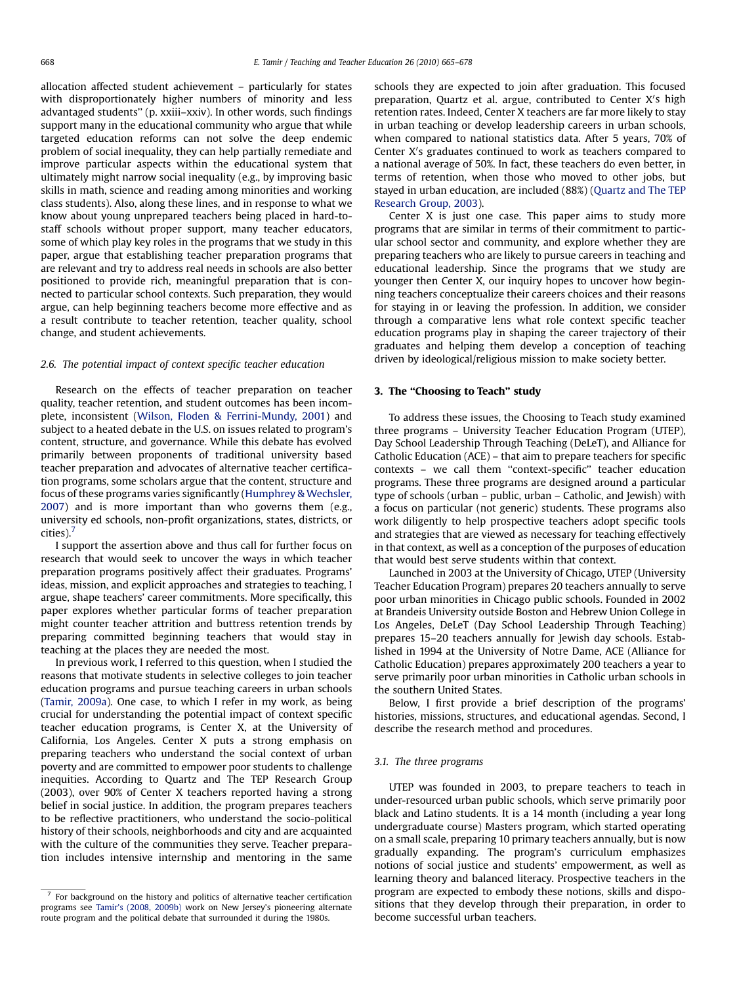allocation affected student achievement – particularly for states with disproportionately higher numbers of minority and less advantaged students'' (p. xxiii–xxiv). In other words, such findings support many in the educational community who argue that while targeted education reforms can not solve the deep endemic problem of social inequality, they can help partially remediate and improve particular aspects within the educational system that ultimately might narrow social inequality (e.g., by improving basic skills in math, science and reading among minorities and working class students). Also, along these lines, and in response to what we know about young unprepared teachers being placed in hard-tostaff schools without proper support, many teacher educators, some of which play key roles in the programs that we study in this paper, argue that establishing teacher preparation programs that are relevant and try to address real needs in schools are also better positioned to provide rich, meaningful preparation that is connected to particular school contexts. Such preparation, they would argue, can help beginning teachers become more effective and as a result contribute to teacher retention, teacher quality, school change, and student achievements.

#### 2.6. The potential impact of context specific teacher education

Research on the effects of teacher preparation on teacher quality, teacher retention, and student outcomes has been incomplete, inconsistent ([Wilson, Floden & Ferrini-Mundy, 2001\)](#page-13-0) and subject to a heated debate in the U.S. on issues related to program's content, structure, and governance. While this debate has evolved primarily between proponents of traditional university based teacher preparation and advocates of alternative teacher certification programs, some scholars argue that the content, structure and focus of these programs varies significantly ([Humphrey & Wechsler,](#page-13-0) [2007\)](#page-13-0) and is more important than who governs them (e.g., university ed schools, non-profit organizations, states, districts, or cities).7

I support the assertion above and thus call for further focus on research that would seek to uncover the ways in which teacher preparation programs positively affect their graduates. Programs' ideas, mission, and explicit approaches and strategies to teaching, I argue, shape teachers' career commitments. More specifically, this paper explores whether particular forms of teacher preparation might counter teacher attrition and buttress retention trends by preparing committed beginning teachers that would stay in teaching at the places they are needed the most.

In previous work, I referred to this question, when I studied the reasons that motivate students in selective colleges to join teacher education programs and pursue teaching careers in urban schools ([Tamir, 2009a\)](#page-13-0). One case, to which I refer in my work, as being crucial for understanding the potential impact of context specific teacher education programs, is Center X, at the University of California, Los Angeles. Center X puts a strong emphasis on preparing teachers who understand the social context of urban poverty and are committed to empower poor students to challenge inequities. According to Quartz and The TEP Research Group (2003), over 90% of Center X teachers reported having a strong belief in social justice. In addition, the program prepares teachers to be reflective practitioners, who understand the socio-political history of their schools, neighborhoods and city and are acquainted with the culture of the communities they serve. Teacher preparation includes intensive internship and mentoring in the same schools they are expected to join after graduation. This focused preparation, Quartz et al. argue, contributed to Center X's high retention rates. Indeed, Center X teachers are far more likely to stay in urban teaching or develop leadership careers in urban schools, when compared to national statistics data. After 5 years, 70% of Center X's graduates continued to work as teachers compared to a national average of 50%. In fact, these teachers do even better, in terms of retention, when those who moved to other jobs, but stayed in urban education, are included (88%) ([Quartz and The TEP](#page-13-0) [Research Group, 2003](#page-13-0)).

Center X is just one case. This paper aims to study more programs that are similar in terms of their commitment to particular school sector and community, and explore whether they are preparing teachers who are likely to pursue careers in teaching and educational leadership. Since the programs that we study are younger then Center X, our inquiry hopes to uncover how beginning teachers conceptualize their careers choices and their reasons for staying in or leaving the profession. In addition, we consider through a comparative lens what role context specific teacher education programs play in shaping the career trajectory of their graduates and helping them develop a conception of teaching driven by ideological/religious mission to make society better.

#### 3. The ''Choosing to Teach'' study

To address these issues, the Choosing to Teach study examined three programs – University Teacher Education Program (UTEP), Day School Leadership Through Teaching (DeLeT), and Alliance for Catholic Education (ACE) – that aim to prepare teachers for specific contexts – we call them ''context-specific'' teacher education programs. These three programs are designed around a particular type of schools (urban – public, urban – Catholic, and Jewish) with a focus on particular (not generic) students. These programs also work diligently to help prospective teachers adopt specific tools and strategies that are viewed as necessary for teaching effectively in that context, as well as a conception of the purposes of education that would best serve students within that context.

Launched in 2003 at the University of Chicago, UTEP (University Teacher Education Program) prepares 20 teachers annually to serve poor urban minorities in Chicago public schools. Founded in 2002 at Brandeis University outside Boston and Hebrew Union College in Los Angeles, DeLeT (Day School Leadership Through Teaching) prepares 15–20 teachers annually for Jewish day schools. Established in 1994 at the University of Notre Dame, ACE (Alliance for Catholic Education) prepares approximately 200 teachers a year to serve primarily poor urban minorities in Catholic urban schools in the southern United States.

Below, I first provide a brief description of the programs' histories, missions, structures, and educational agendas. Second, I describe the research method and procedures.

### 3.1. The three programs

UTEP was founded in 2003, to prepare teachers to teach in under-resourced urban public schools, which serve primarily poor black and Latino students. It is a 14 month (including a year long undergraduate course) Masters program, which started operating on a small scale, preparing 10 primary teachers annually, but is now gradually expanding. The program's curriculum emphasizes notions of social justice and students' empowerment, as well as learning theory and balanced literacy. Prospective teachers in the program are expected to embody these notions, skills and dispositions that they develop through their preparation, in order to become successful urban teachers.

 $<sup>7</sup>$  For background on the history and politics of alternative teacher certification</sup> programs see [Tamir's \(2008, 2009b\)](#page-13-0) work on New Jersey's pioneering alternate route program and the political debate that surrounded it during the 1980s.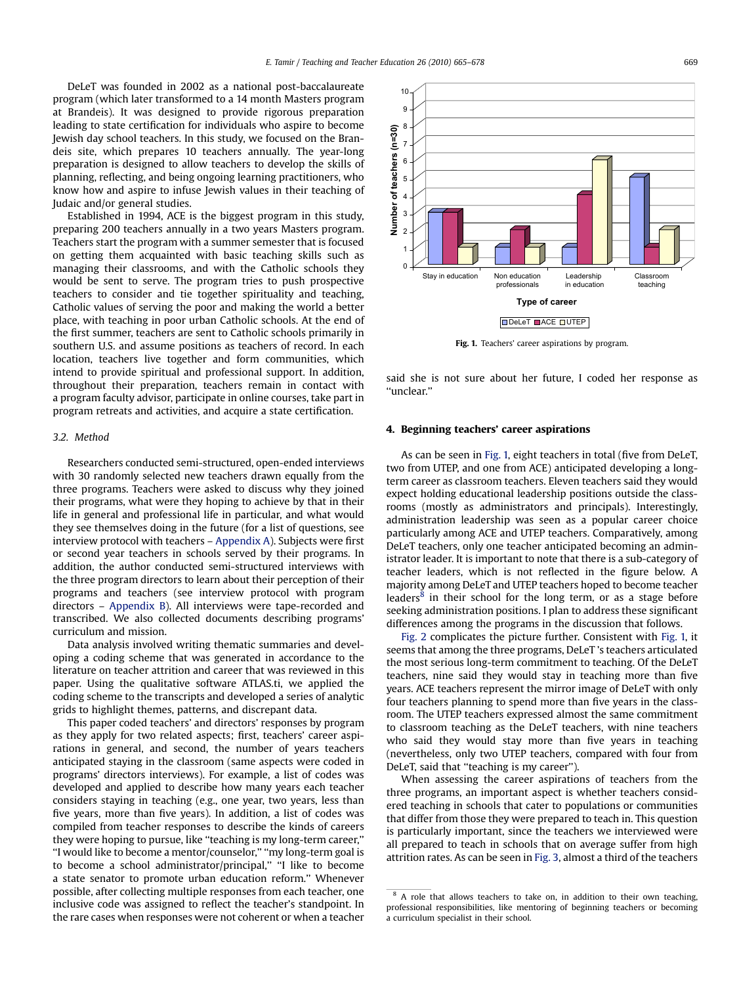DeLeT was founded in 2002 as a national post-baccalaureate program (which later transformed to a 14 month Masters program at Brandeis). It was designed to provide rigorous preparation leading to state certification for individuals who aspire to become Jewish day school teachers. In this study, we focused on the Brandeis site, which prepares 10 teachers annually. The year-long preparation is designed to allow teachers to develop the skills of planning, reflecting, and being ongoing learning practitioners, who know how and aspire to infuse Jewish values in their teaching of Judaic and/or general studies.

Established in 1994, ACE is the biggest program in this study, preparing 200 teachers annually in a two years Masters program. Teachers start the program with a summer semester that is focused on getting them acquainted with basic teaching skills such as managing their classrooms, and with the Catholic schools they would be sent to serve. The program tries to push prospective teachers to consider and tie together spirituality and teaching, Catholic values of serving the poor and making the world a better place, with teaching in poor urban Catholic schools. At the end of the first summer, teachers are sent to Catholic schools primarily in southern U.S. and assume positions as teachers of record. In each location, teachers live together and form communities, which intend to provide spiritual and professional support. In addition, throughout their preparation, teachers remain in contact with a program faculty advisor, participate in online courses, take part in program retreats and activities, and acquire a state certification.

#### 3.2. Method

Researchers conducted semi-structured, open-ended interviews with 30 randomly selected new teachers drawn equally from the three programs. Teachers were asked to discuss why they joined their programs, what were they hoping to achieve by that in their life in general and professional life in particular, and what would they see themselves doing in the future (for a list of questions, see interview protocol with teachers – [Appendix A\)](#page-11-0). Subjects were first or second year teachers in schools served by their programs. In addition, the author conducted semi-structured interviews with the three program directors to learn about their perception of their programs and teachers (see interview protocol with program directors – [Appendix B](#page-12-0)). All interviews were tape-recorded and transcribed. We also collected documents describing programs' curriculum and mission.

Data analysis involved writing thematic summaries and developing a coding scheme that was generated in accordance to the literature on teacher attrition and career that was reviewed in this paper. Using the qualitative software ATLAS.ti, we applied the coding scheme to the transcripts and developed a series of analytic grids to highlight themes, patterns, and discrepant data.

This paper coded teachers' and directors' responses by program as they apply for two related aspects; first, teachers' career aspirations in general, and second, the number of years teachers anticipated staying in the classroom (same aspects were coded in programs' directors interviews). For example, a list of codes was developed and applied to describe how many years each teacher considers staying in teaching (e.g., one year, two years, less than five years, more than five years). In addition, a list of codes was compiled from teacher responses to describe the kinds of careers they were hoping to pursue, like ''teaching is my long-term career,'' ''I would like to become a mentor/counselor,'' ''my long-term goal is to become a school administrator/principal," "I like to become a state senator to promote urban education reform.'' Whenever possible, after collecting multiple responses from each teacher, one inclusive code was assigned to reflect the teacher's standpoint. In the rare cases when responses were not coherent or when a teacher



Fig. 1. Teachers' career aspirations by program.

said she is not sure about her future, I coded her response as ''unclear.''

#### 4. Beginning teachers' career aspirations

As can be seen in Fig. 1, eight teachers in total (five from DeLeT, two from UTEP, and one from ACE) anticipated developing a longterm career as classroom teachers. Eleven teachers said they would expect holding educational leadership positions outside the classrooms (mostly as administrators and principals). Interestingly, administration leadership was seen as a popular career choice particularly among ACE and UTEP teachers. Comparatively, among DeLeT teachers, only one teacher anticipated becoming an administrator leader. It is important to note that there is a sub-category of teacher leaders, which is not reflected in the figure below. A majority among DeLeT and UTEP teachers hoped to become teacher leaders $8$  in their school for the long term, or as a stage before seeking administration positions. I plan to address these significant differences among the programs in the discussion that follows.

[Fig. 2](#page-5-0) complicates the picture further. Consistent with Fig. 1, it seems that among the three programs, DeLeT 's teachers articulated the most serious long-term commitment to teaching. Of the DeLeT teachers, nine said they would stay in teaching more than five years. ACE teachers represent the mirror image of DeLeT with only four teachers planning to spend more than five years in the classroom. The UTEP teachers expressed almost the same commitment to classroom teaching as the DeLeT teachers, with nine teachers who said they would stay more than five years in teaching (nevertheless, only two UTEP teachers, compared with four from DeLeT, said that ''teaching is my career'').

When assessing the career aspirations of teachers from the three programs, an important aspect is whether teachers considered teaching in schools that cater to populations or communities that differ from those they were prepared to teach in. This question is particularly important, since the teachers we interviewed were all prepared to teach in schools that on average suffer from high attrition rates. As can be seen in [Fig. 3](#page-5-0), almost a third of the teachers

 $8$  A role that allows teachers to take on, in addition to their own teaching, professional responsibilities, like mentoring of beginning teachers or becoming a curriculum specialist in their school.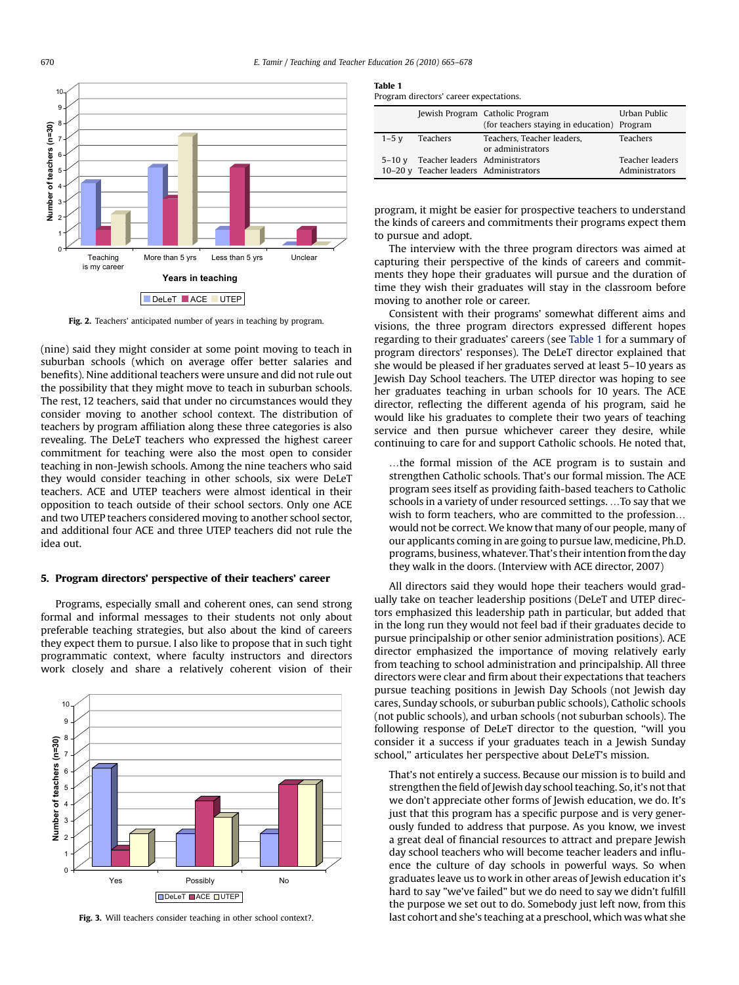<span id="page-5-0"></span>

Fig. 2. Teachers' anticipated number of years in teaching by program.

(nine) said they might consider at some point moving to teach in suburban schools (which on average offer better salaries and benefits). Nine additional teachers were unsure and did not rule out the possibility that they might move to teach in suburban schools. The rest, 12 teachers, said that under no circumstances would they consider moving to another school context. The distribution of teachers by program affiliation along these three categories is also revealing. The DeLeT teachers who expressed the highest career commitment for teaching were also the most open to consider teaching in non-Jewish schools. Among the nine teachers who said they would consider teaching in other schools, six were DeLeT teachers. ACE and UTEP teachers were almost identical in their opposition to teach outside of their school sectors. Only one ACE and two UTEP teachers considered moving to another school sector, and additional four ACE and three UTEP teachers did not rule the idea out.

## 5. Program directors' perspective of their teachers' career

Programs, especially small and coherent ones, can send strong formal and informal messages to their students not only about preferable teaching strategies, but also about the kind of careers they expect them to pursue. I also like to propose that in such tight programmatic context, where faculty instructors and directors work closely and share a relatively coherent vision of their



Fig. 3. Will teachers consider teaching in other school context?.

Table 1

|            |                                        | Jewish Program Catholic Program<br>(for teachers staying in education) Program | Urban Public    |
|------------|----------------------------------------|--------------------------------------------------------------------------------|-----------------|
| $1 - 5$ v  | Teachers                               | Teachers, Teacher leaders,<br>or administrators                                | <b>Teachers</b> |
| $5 - 10$ v | Teacher leaders Administrators         |                                                                                | Teacher leaders |
|            | 10-20 y Teacher leaders Administrators |                                                                                | Administrators  |

program, it might be easier for prospective teachers to understand the kinds of careers and commitments their programs expect them to pursue and adopt.

The interview with the three program directors was aimed at capturing their perspective of the kinds of careers and commitments they hope their graduates will pursue and the duration of time they wish their graduates will stay in the classroom before moving to another role or career.

Consistent with their programs' somewhat different aims and visions, the three program directors expressed different hopes regarding to their graduates' careers (see Table 1 for a summary of program directors' responses). The DeLeT director explained that she would be pleased if her graduates served at least 5–10 years as Jewish Day School teachers. The UTEP director was hoping to see her graduates teaching in urban schools for 10 years. The ACE director, reflecting the different agenda of his program, said he would like his graduates to complete their two years of teaching service and then pursue whichever career they desire, while continuing to care for and support Catholic schools. He noted that,

...the formal mission of the ACE program is to sustain and strengthen Catholic schools. That's our formal mission. The ACE program sees itself as providing faith-based teachers to Catholic schools in a variety of under resourced settings. ... To say that we wish to form teachers, who are committed to the profession... would not be correct. We know that many of our people, many of our applicants coming in are going to pursue law, medicine, Ph.D. programs, business, whatever. That's their intention from the day they walk in the doors. (Interview with ACE director, 2007)

All directors said they would hope their teachers would gradually take on teacher leadership positions (DeLeT and UTEP directors emphasized this leadership path in particular, but added that in the long run they would not feel bad if their graduates decide to pursue principalship or other senior administration positions). ACE director emphasized the importance of moving relatively early from teaching to school administration and principalship. All three directors were clear and firm about their expectations that teachers pursue teaching positions in Jewish Day Schools (not Jewish day cares, Sunday schools, or suburban public schools), Catholic schools (not public schools), and urban schools (not suburban schools). The following response of DeLeT director to the question, ''will you consider it a success if your graduates teach in a Jewish Sunday school,'' articulates her perspective about DeLeT's mission.

That's not entirely a success. Because our mission is to build and strengthen the field of Jewish day school teaching. So, it's not that we don't appreciate other forms of Jewish education, we do. It's just that this program has a specific purpose and is very generously funded to address that purpose. As you know, we invest a great deal of financial resources to attract and prepare Jewish day school teachers who will become teacher leaders and influence the culture of day schools in powerful ways. So when graduates leave us to work in other areas of Jewish education it's hard to say "we've failed" but we do need to say we didn't fulfill the purpose we set out to do. Somebody just left now, from this last cohort and she's teaching at a preschool, which was what she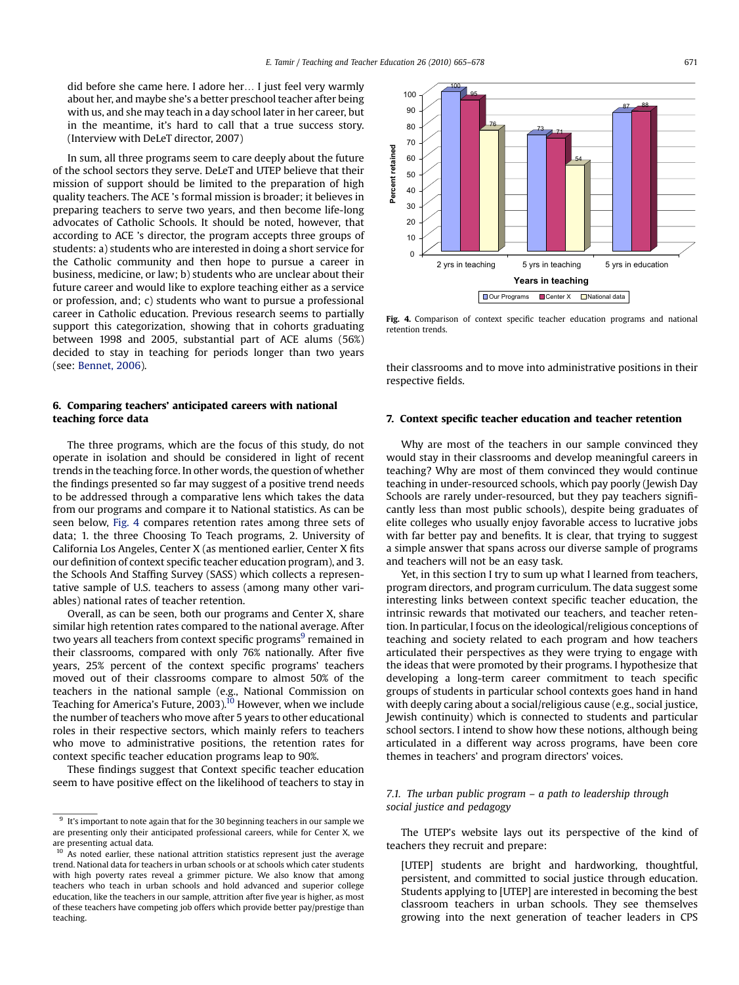<span id="page-6-0"></span>did before she came here. I adore her. I just feel very warmly about her, and maybe she's a better preschool teacher after being with us, and she may teach in a day school later in her career, but in the meantime, it's hard to call that a true success story. (Interview with DeLeT director, 2007)

In sum, all three programs seem to care deeply about the future of the school sectors they serve. DeLeT and UTEP believe that their mission of support should be limited to the preparation of high quality teachers. The ACE 's formal mission is broader; it believes in preparing teachers to serve two years, and then become life-long advocates of Catholic Schools. It should be noted, however, that according to ACE 's director, the program accepts three groups of students: a) students who are interested in doing a short service for the Catholic community and then hope to pursue a career in business, medicine, or law; b) students who are unclear about their future career and would like to explore teaching either as a service or profession, and; c) students who want to pursue a professional career in Catholic education. Previous research seems to partially support this categorization, showing that in cohorts graduating between 1998 and 2005, substantial part of ACE alums (56%) decided to stay in teaching for periods longer than two years (see: [Bennet, 2006](#page-12-0)).

## 6. Comparing teachers' anticipated careers with national teaching force data

The three programs, which are the focus of this study, do not operate in isolation and should be considered in light of recent trends in the teaching force. In other words, the question of whether the findings presented so far may suggest of a positive trend needs to be addressed through a comparative lens which takes the data from our programs and compare it to National statistics. As can be seen below, Fig. 4 compares retention rates among three sets of data; 1. the three Choosing To Teach programs, 2. University of California Los Angeles, Center X (as mentioned earlier, Center X fits our definition of context specific teacher education program), and 3. the Schools And Staffing Survey (SASS) which collects a representative sample of U.S. teachers to assess (among many other variables) national rates of teacher retention.

Overall, as can be seen, both our programs and Center X, share similar high retention rates compared to the national average. After two years all teachers from context specific programs<sup>9</sup> remained in their classrooms, compared with only 76% nationally. After five years, 25% percent of the context specific programs' teachers moved out of their classrooms compare to almost 50% of the teachers in the national sample (e.g., National Commission on Teaching for America's Future, 2003).10 However, when we include the number of teachers who move after 5 years to other educational roles in their respective sectors, which mainly refers to teachers who move to administrative positions, the retention rates for context specific teacher education programs leap to 90%.

These findings suggest that Context specific teacher education seem to have positive effect on the likelihood of teachers to stay in



Fig. 4. Comparison of context specific teacher education programs and national retention trends.

their classrooms and to move into administrative positions in their respective fields.

## 7. Context specific teacher education and teacher retention

Why are most of the teachers in our sample convinced they would stay in their classrooms and develop meaningful careers in teaching? Why are most of them convinced they would continue teaching in under-resourced schools, which pay poorly (Jewish Day Schools are rarely under-resourced, but they pay teachers significantly less than most public schools), despite being graduates of elite colleges who usually enjoy favorable access to lucrative jobs with far better pay and benefits. It is clear, that trying to suggest a simple answer that spans across our diverse sample of programs and teachers will not be an easy task.

Yet, in this section I try to sum up what I learned from teachers, program directors, and program curriculum. The data suggest some interesting links between context specific teacher education, the intrinsic rewards that motivated our teachers, and teacher retention. In particular, I focus on the ideological/religious conceptions of teaching and society related to each program and how teachers articulated their perspectives as they were trying to engage with the ideas that were promoted by their programs. I hypothesize that developing a long-term career commitment to teach specific groups of students in particular school contexts goes hand in hand with deeply caring about a social/religious cause (e.g., social justice, Jewish continuity) which is connected to students and particular school sectors. I intend to show how these notions, although being articulated in a different way across programs, have been core themes in teachers' and program directors' voices.

## 7.1. The urban public program – a path to leadership through social justice and pedagogy

The UTEP's website lays out its perspective of the kind of teachers they recruit and prepare:

[UTEP] students are bright and hardworking, thoughtful, persistent, and committed to social justice through education. Students applying to [UTEP] are interested in becoming the best classroom teachers in urban schools. They see themselves growing into the next generation of teacher leaders in CPS

 $9\,$  It's important to note again that for the 30 beginning teachers in our sample we are presenting only their anticipated professional careers, while for Center X, we are presenting actual data.

 $10$  As noted earlier, these national attrition statistics represent just the average trend. National data for teachers in urban schools or at schools which cater students with high poverty rates reveal a grimmer picture. We also know that among teachers who teach in urban schools and hold advanced and superior college education, like the teachers in our sample, attrition after five year is higher, as most of these teachers have competing job offers which provide better pay/prestige than teaching.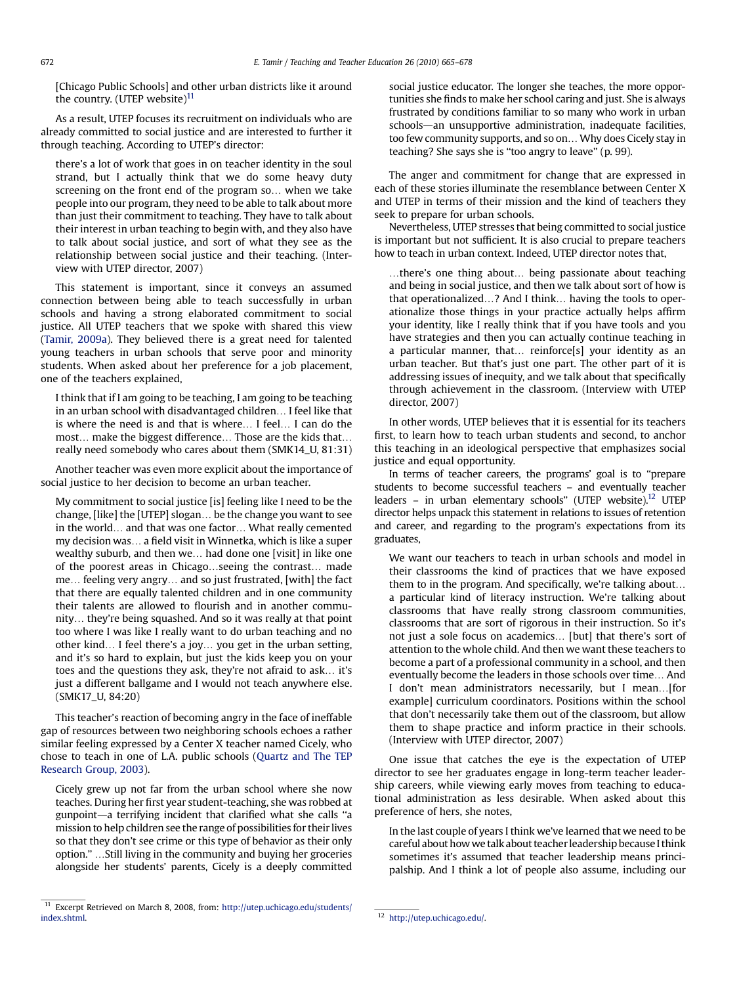[Chicago Public Schools] and other urban districts like it around the country. (UTEP website) $11$ 

As a result, UTEP focuses its recruitment on individuals who are already committed to social justice and are interested to further it through teaching. According to UTEP's director:

there's a lot of work that goes in on teacher identity in the soul strand, but I actually think that we do some heavy duty screening on the front end of the program so... when we take people into our program, they need to be able to talk about more than just their commitment to teaching. They have to talk about their interest in urban teaching to begin with, and they also have to talk about social justice, and sort of what they see as the relationship between social justice and their teaching. (Interview with UTEP director, 2007)

This statement is important, since it conveys an assumed connection between being able to teach successfully in urban schools and having a strong elaborated commitment to social justice. All UTEP teachers that we spoke with shared this view ([Tamir, 2009a](#page-13-0)). They believed there is a great need for talented young teachers in urban schools that serve poor and minority students. When asked about her preference for a job placement, one of the teachers explained,

I think that if I am going to be teaching, I am going to be teaching in an urban school with disadvantaged children. I feel like that is where the need is and that is where... I feel... I can do the most... make the biggest difference... Those are the kids that... really need somebody who cares about them (SMK14\_U, 81:31)

Another teacher was even more explicit about the importance of social justice to her decision to become an urban teacher.

My commitment to social justice [is] feeling like I need to be the change, [like] the [UTEP] slogan... be the change you want to see in the world... and that was one factor... What really cemented my decision was. a field visit in Winnetka, which is like a super wealthy suburb, and then we... had done one [visit] in like one of the poorest areas in Chicago...seeing the contrast... made me... feeling very angry... and so just frustrated, [with] the fact that there are equally talented children and in one community their talents are allowed to flourish and in another community... they're being squashed. And so it was really at that point too where I was like I really want to do urban teaching and no other kind... I feel there's a joy... you get in the urban setting, and it's so hard to explain, but just the kids keep you on your toes and the questions they ask, they're not afraid to ask... it's just a different ballgame and I would not teach anywhere else. (SMK17\_U, 84:20)

This teacher's reaction of becoming angry in the face of ineffable gap of resources between two neighboring schools echoes a rather similar feeling expressed by a Center X teacher named Cicely, who chose to teach in one of L.A. public schools ([Quartz and The TEP](#page-13-0) [Research Group, 2003\)](#page-13-0).

Cicely grew up not far from the urban school where she now teaches. During her first year student-teaching, she was robbed at gunpoint—a terrifying incident that clarified what she calls "a mission to help children see the range of possibilities for their lives so that they don't see crime or this type of behavior as their only option." ... Still living in the community and buying her groceries alongside her students' parents, Cicely is a deeply committed social justice educator. The longer she teaches, the more opportunities she finds to make her school caring and just. She is always frustrated by conditions familiar to so many who work in urban schools—an unsupportive administration, inadequate facilities, too few community supports, and so on... Why does Cicely stay in teaching? She says she is ''too angry to leave'' (p. 99).

The anger and commitment for change that are expressed in each of these stories illuminate the resemblance between Center X and UTEP in terms of their mission and the kind of teachers they seek to prepare for urban schools.

Nevertheless, UTEP stresses that being committed to social justice is important but not sufficient. It is also crucial to prepare teachers how to teach in urban context. Indeed, UTEP director notes that,

...there's one thing about... being passionate about teaching and being in social justice, and then we talk about sort of how is that operationalized...? And I think... having the tools to operationalize those things in your practice actually helps affirm your identity, like I really think that if you have tools and you have strategies and then you can actually continue teaching in a particular manner, that... reinforce[s] your identity as an urban teacher. But that's just one part. The other part of it is addressing issues of inequity, and we talk about that specifically through achievement in the classroom. (Interview with UTEP director, 2007)

In other words, UTEP believes that it is essential for its teachers first, to learn how to teach urban students and second, to anchor this teaching in an ideological perspective that emphasizes social justice and equal opportunity.

In terms of teacher careers, the programs' goal is to ''prepare students to become successful teachers – and eventually teacher leaders – in urban elementary schools" (UTEP website).<sup>12</sup> UTEP director helps unpack this statement in relations to issues of retention and career, and regarding to the program's expectations from its graduates,

We want our teachers to teach in urban schools and model in their classrooms the kind of practices that we have exposed them to in the program. And specifically, we're talking about. a particular kind of literacy instruction. We're talking about classrooms that have really strong classroom communities, classrooms that are sort of rigorous in their instruction. So it's not just a sole focus on academics... [but] that there's sort of attention to the whole child. And then we want these teachers to become a part of a professional community in a school, and then eventually become the leaders in those schools over time... And I don't mean administrators necessarily, but I mean... [for example] curriculum coordinators. Positions within the school that don't necessarily take them out of the classroom, but allow them to shape practice and inform practice in their schools. (Interview with UTEP director, 2007)

One issue that catches the eye is the expectation of UTEP director to see her graduates engage in long-term teacher leadership careers, while viewing early moves from teaching to educational administration as less desirable. When asked about this preference of hers, she notes,

In the last couple of years I think we've learned that we need to be careful about how we talk about teacher leadership because I think sometimes it's assumed that teacher leadership means principalship. And I think a lot of people also assume, including our

<sup>11</sup> Excerpt Retrieved on March 8, 2008, from: [http://utep.uchicago.edu/students/](http://utep.uchicago.edu/students/index.shtml) [index.shtml](http://utep.uchicago.edu/students/index.shtml). <sup>12</sup> <http://utep.uchicago.edu/>.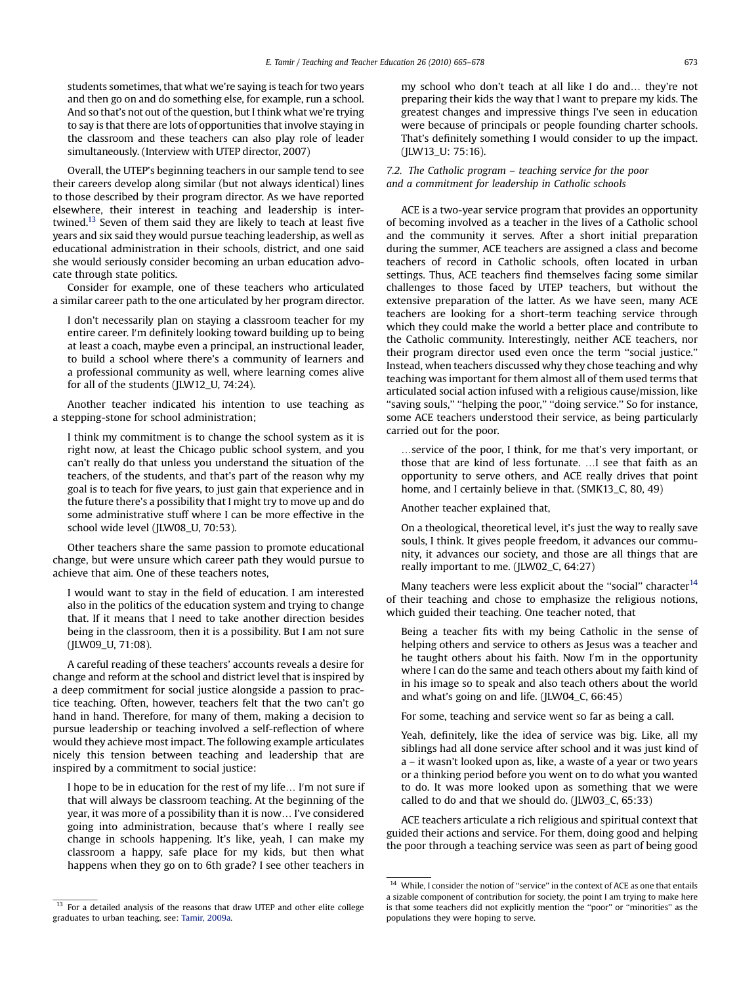students sometimes, that what we're saying is teach for two years and then go on and do something else, for example, run a school. And so that's not out of the question, but I think what we're trying to say is that there are lots of opportunities that involve staying in the classroom and these teachers can also play role of leader simultaneously. (Interview with UTEP director, 2007)

Overall, the UTEP's beginning teachers in our sample tend to see their careers develop along similar (but not always identical) lines to those described by their program director. As we have reported elsewhere, their interest in teaching and leadership is intertwined.<sup>13</sup> Seven of them said they are likely to teach at least five years and six said they would pursue teaching leadership, as well as educational administration in their schools, district, and one said she would seriously consider becoming an urban education advocate through state politics.

Consider for example, one of these teachers who articulated a similar career path to the one articulated by her program director.

I don't necessarily plan on staying a classroom teacher for my entire career. I'm definitely looking toward building up to being at least a coach, maybe even a principal, an instructional leader, to build a school where there's a community of learners and a professional community as well, where learning comes alive for all of the students (JLW12\_U, 74:24).

Another teacher indicated his intention to use teaching as a stepping-stone for school administration;

I think my commitment is to change the school system as it is right now, at least the Chicago public school system, and you can't really do that unless you understand the situation of the teachers, of the students, and that's part of the reason why my goal is to teach for five years, to just gain that experience and in the future there's a possibility that I might try to move up and do some administrative stuff where I can be more effective in the school wide level (JLW08\_U, 70:53).

Other teachers share the same passion to promote educational change, but were unsure which career path they would pursue to achieve that aim. One of these teachers notes,

I would want to stay in the field of education. I am interested also in the politics of the education system and trying to change that. If it means that I need to take another direction besides being in the classroom, then it is a possibility. But I am not sure (JLW09\_U, 71:08).

A careful reading of these teachers' accounts reveals a desire for change and reform at the school and district level that is inspired by a deep commitment for social justice alongside a passion to practice teaching. Often, however, teachers felt that the two can't go hand in hand. Therefore, for many of them, making a decision to pursue leadership or teaching involved a self-reflection of where would they achieve most impact. The following example articulates nicely this tension between teaching and leadership that are inspired by a commitment to social justice:

I hope to be in education for the rest of my life... I'm not sure if that will always be classroom teaching. At the beginning of the year, it was more of a possibility than it is now. I've considered going into administration, because that's where I really see change in schools happening. It's like, yeah, I can make my classroom a happy, safe place for my kids, but then what happens when they go on to 6th grade? I see other teachers in

my school who don't teach at all like I do and... they're not preparing their kids the way that I want to prepare my kids. The greatest changes and impressive things I've seen in education were because of principals or people founding charter schools. That's definitely something I would consider to up the impact. (JLW13\_U: 75:16).

## 7.2. The Catholic program – teaching service for the poor and a commitment for leadership in Catholic schools

ACE is a two-year service program that provides an opportunity of becoming involved as a teacher in the lives of a Catholic school and the community it serves. After a short initial preparation during the summer, ACE teachers are assigned a class and become teachers of record in Catholic schools, often located in urban settings. Thus, ACE teachers find themselves facing some similar challenges to those faced by UTEP teachers, but without the extensive preparation of the latter. As we have seen, many ACE teachers are looking for a short-term teaching service through which they could make the world a better place and contribute to the Catholic community. Interestingly, neither ACE teachers, nor their program director used even once the term ''social justice.'' Instead, when teachers discussed why they chose teaching and why teaching was important for them almost all of them used terms that articulated social action infused with a religious cause/mission, like "saving souls," "helping the poor," "doing service." So for instance, some ACE teachers understood their service, as being particularly carried out for the poor.

...service of the poor, I think, for me that's very important, or those that are kind of less fortunate. ... I see that faith as an opportunity to serve others, and ACE really drives that point home, and I certainly believe in that. (SMK13\_C, 80, 49)

Another teacher explained that,

On a theological, theoretical level, it's just the way to really save souls, I think. It gives people freedom, it advances our community, it advances our society, and those are all things that are really important to me. (JLW02\_C, 64:27)

Many teachers were less explicit about the "social" character<sup>14</sup> of their teaching and chose to emphasize the religious notions, which guided their teaching. One teacher noted, that

Being a teacher fits with my being Catholic in the sense of helping others and service to others as Jesus was a teacher and he taught others about his faith. Now I'm in the opportunity where I can do the same and teach others about my faith kind of in his image so to speak and also teach others about the world and what's going on and life. (JLW04\_C, 66:45)

For some, teaching and service went so far as being a call.

Yeah, definitely, like the idea of service was big. Like, all my siblings had all done service after school and it was just kind of a – it wasn't looked upon as, like, a waste of a year or two years or a thinking period before you went on to do what you wanted to do. It was more looked upon as something that we were called to do and that we should do. (JLW03\_C, 65:33)

ACE teachers articulate a rich religious and spiritual context that guided their actions and service. For them, doing good and helping the poor through a teaching service was seen as part of being good

<sup>&</sup>lt;sup>13</sup> For a detailed analysis of the reasons that draw UTEP and other elite college graduates to urban teaching, see: [Tamir, 2009a.](#page-13-0)

 $14\,$  While, I consider the notion of "service" in the context of ACE as one that entails a sizable component of contribution for society, the point I am trying to make here is that some teachers did not explicitly mention the ''poor'' or ''minorities'' as the populations they were hoping to serve.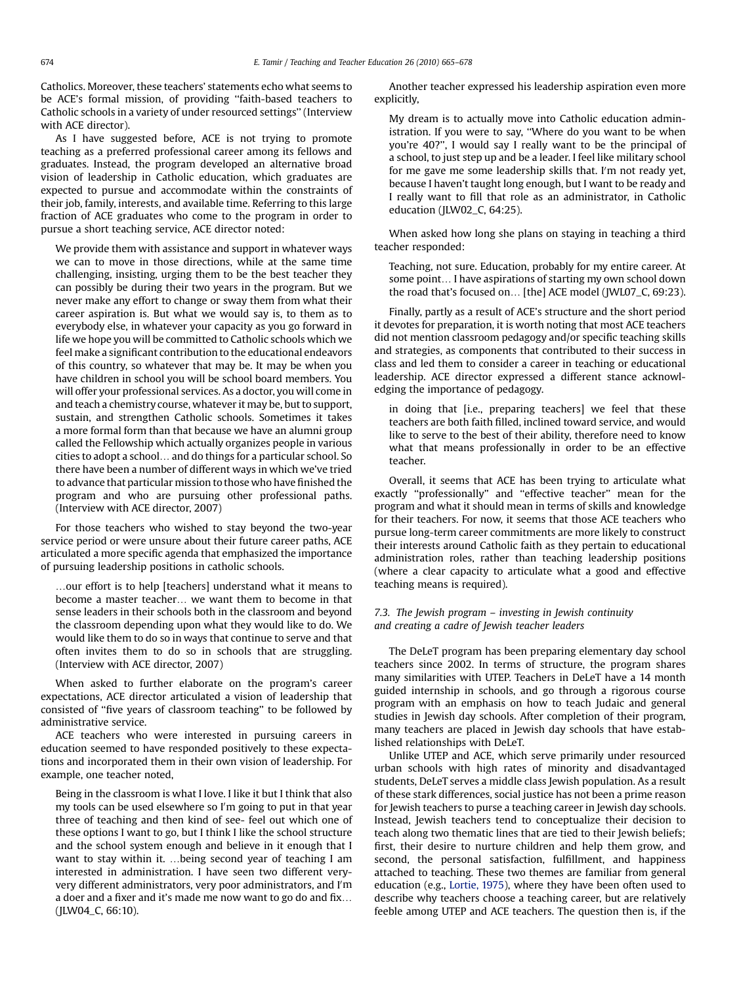Catholics. Moreover, these teachers' statements echo what seems to be ACE's formal mission, of providing ''faith-based teachers to Catholic schools in a variety of under resourced settings'' (Interview with ACE director).

As I have suggested before, ACE is not trying to promote teaching as a preferred professional career among its fellows and graduates. Instead, the program developed an alternative broad vision of leadership in Catholic education, which graduates are expected to pursue and accommodate within the constraints of their job, family, interests, and available time. Referring to this large fraction of ACE graduates who come to the program in order to pursue a short teaching service, ACE director noted:

We provide them with assistance and support in whatever ways we can to move in those directions, while at the same time challenging, insisting, urging them to be the best teacher they can possibly be during their two years in the program. But we never make any effort to change or sway them from what their career aspiration is. But what we would say is, to them as to everybody else, in whatever your capacity as you go forward in life we hope you will be committed to Catholic schools which we feel make a significant contribution to the educational endeavors of this country, so whatever that may be. It may be when you have children in school you will be school board members. You will offer your professional services. As a doctor, you will come in and teach a chemistry course, whatever it may be, but to support, sustain, and strengthen Catholic schools. Sometimes it takes a more formal form than that because we have an alumni group called the Fellowship which actually organizes people in various cities to adopt a school. and do things for a particular school. So there have been a number of different ways in which we've tried to advance that particular mission to those who have finished the program and who are pursuing other professional paths. (Interview with ACE director, 2007)

For those teachers who wished to stay beyond the two-year service period or were unsure about their future career paths, ACE articulated a more specific agenda that emphasized the importance of pursuing leadership positions in catholic schools.

...our effort is to help [teachers] understand what it means to become a master teacher... we want them to become in that sense leaders in their schools both in the classroom and beyond the classroom depending upon what they would like to do. We would like them to do so in ways that continue to serve and that often invites them to do so in schools that are struggling. (Interview with ACE director, 2007)

When asked to further elaborate on the program's career expectations, ACE director articulated a vision of leadership that consisted of ''five years of classroom teaching'' to be followed by administrative service.

ACE teachers who were interested in pursuing careers in education seemed to have responded positively to these expectations and incorporated them in their own vision of leadership. For example, one teacher noted,

Being in the classroom is what I love. I like it but I think that also my tools can be used elsewhere so I'm going to put in that year three of teaching and then kind of see- feel out which one of these options I want to go, but I think I like the school structure and the school system enough and believe in it enough that I want to stay within it. ...being second year of teaching I am interested in administration. I have seen two different veryvery different administrators, very poor administrators, and I'm a doer and a fixer and it's made me now want to go do and fix. (JLW04\_C, 66:10).

Another teacher expressed his leadership aspiration even more explicitly,

My dream is to actually move into Catholic education administration. If you were to say, ''Where do you want to be when you're 40?'', I would say I really want to be the principal of a school, to just step up and be a leader. I feel like military school for me gave me some leadership skills that. I'm not ready yet, because I haven't taught long enough, but I want to be ready and I really want to fill that role as an administrator, in Catholic education (JLW02\_C, 64:25).

When asked how long she plans on staying in teaching a third teacher responded:

Teaching, not sure. Education, probably for my entire career. At some point... I have aspirations of starting my own school down the road that's focused on... [the] ACE model (JWL07\_C, 69:23).

Finally, partly as a result of ACE's structure and the short period it devotes for preparation, it is worth noting that most ACE teachers did not mention classroom pedagogy and/or specific teaching skills and strategies, as components that contributed to their success in class and led them to consider a career in teaching or educational leadership. ACE director expressed a different stance acknowledging the importance of pedagogy.

in doing that [i.e., preparing teachers] we feel that these teachers are both faith filled, inclined toward service, and would like to serve to the best of their ability, therefore need to know what that means professionally in order to be an effective teacher.

Overall, it seems that ACE has been trying to articulate what exactly ''professionally'' and ''effective teacher'' mean for the program and what it should mean in terms of skills and knowledge for their teachers. For now, it seems that those ACE teachers who pursue long-term career commitments are more likely to construct their interests around Catholic faith as they pertain to educational administration roles, rather than teaching leadership positions (where a clear capacity to articulate what a good and effective teaching means is required).

## 7.3. The Jewish program – investing in Jewish continuity and creating a cadre of Jewish teacher leaders

The DeLeT program has been preparing elementary day school teachers since 2002. In terms of structure, the program shares many similarities with UTEP. Teachers in DeLeT have a 14 month guided internship in schools, and go through a rigorous course program with an emphasis on how to teach Judaic and general studies in Jewish day schools. After completion of their program, many teachers are placed in Jewish day schools that have established relationships with DeLeT.

Unlike UTEP and ACE, which serve primarily under resourced urban schools with high rates of minority and disadvantaged students, DeLeT serves a middle class Jewish population. As a result of these stark differences, social justice has not been a prime reason for Jewish teachers to purse a teaching career in Jewish day schools. Instead, Jewish teachers tend to conceptualize their decision to teach along two thematic lines that are tied to their Jewish beliefs; first, their desire to nurture children and help them grow, and second, the personal satisfaction, fulfillment, and happiness attached to teaching. These two themes are familiar from general education (e.g., [Lortie, 1975](#page-13-0)), where they have been often used to describe why teachers choose a teaching career, but are relatively feeble among UTEP and ACE teachers. The question then is, if the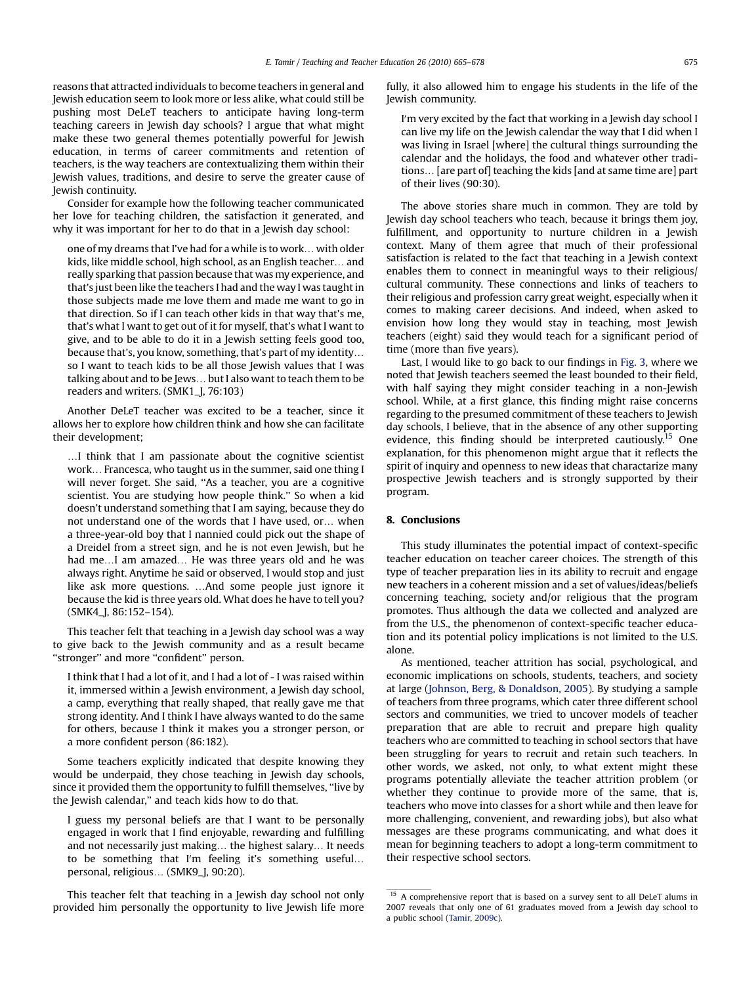reasons that attracted individuals to become teachers in general and Jewish education seem to look more or less alike, what could still be pushing most DeLeT teachers to anticipate having long-term teaching careers in Jewish day schools? I argue that what might make these two general themes potentially powerful for Jewish education, in terms of career commitments and retention of teachers, is the way teachers are contextualizing them within their Jewish values, traditions, and desire to serve the greater cause of Jewish continuity.

Consider for example how the following teacher communicated her love for teaching children, the satisfaction it generated, and why it was important for her to do that in a Jewish day school:

one of my dreams that I've had for a while is to work... with older kids, like middle school, high school, as an English teacher. and really sparking that passion because that was my experience, and that's just been like the teachers I had and the way I was taught in those subjects made me love them and made me want to go in that direction. So if I can teach other kids in that way that's me, that's what I want to get out of it for myself, that's what I want to give, and to be able to do it in a Jewish setting feels good too, because that's, you know, something, that's part of my identity. so I want to teach kids to be all those Jewish values that I was talking about and to be Jews... but I also want to teach them to be readers and writers. (SMK1\_J, 76:103)

Another DeLeT teacher was excited to be a teacher, since it allows her to explore how children think and how she can facilitate their development;

.I think that I am passionate about the cognitive scientist work... Francesca, who taught us in the summer, said one thing I will never forget. She said, ''As a teacher, you are a cognitive scientist. You are studying how people think.'' So when a kid doesn't understand something that I am saying, because they do not understand one of the words that I have used, or... when a three-year-old boy that I nannied could pick out the shape of a Dreidel from a street sign, and he is not even Jewish, but he had me...I am amazed... He was three years old and he was always right. Anytime he said or observed, I would stop and just like ask more questions. ...And some people just ignore it because the kid is three years old. What does he have to tell you? (SMK4\_J, 86:152–154).

This teacher felt that teaching in a Jewish day school was a way to give back to the Jewish community and as a result became "stronger" and more "confident" person.

I think that I had a lot of it, and I had a lot of - I was raised within it, immersed within a Jewish environment, a Jewish day school, a camp, everything that really shaped, that really gave me that strong identity. And I think I have always wanted to do the same for others, because I think it makes you a stronger person, or a more confident person (86:182).

Some teachers explicitly indicated that despite knowing they would be underpaid, they chose teaching in Jewish day schools, since it provided them the opportunity to fulfill themselves, ''live by the Jewish calendar,'' and teach kids how to do that.

I guess my personal beliefs are that I want to be personally engaged in work that I find enjoyable, rewarding and fulfilling and not necessarily just making... the highest salary... It needs to be something that I'm feeling it's something useful... personal, religious... (SMK9\_J, 90:20).

This teacher felt that teaching in a Jewish day school not only provided him personally the opportunity to live Jewish life more

fully, it also allowed him to engage his students in the life of the Jewish community.

I'm very excited by the fact that working in a Jewish day school I can live my life on the Jewish calendar the way that I did when I was living in Israel [where] the cultural things surrounding the calendar and the holidays, the food and whatever other traditions... [are part of] teaching the kids [and at same time are] part of their lives (90:30).

The above stories share much in common. They are told by Jewish day school teachers who teach, because it brings them joy, fulfillment, and opportunity to nurture children in a Jewish context. Many of them agree that much of their professional satisfaction is related to the fact that teaching in a Jewish context enables them to connect in meaningful ways to their religious/ cultural community. These connections and links of teachers to their religious and profession carry great weight, especially when it comes to making career decisions. And indeed, when asked to envision how long they would stay in teaching, most Jewish teachers (eight) said they would teach for a significant period of time (more than five years).

Last, I would like to go back to our findings in [Fig. 3](#page-5-0), where we noted that Jewish teachers seemed the least bounded to their field, with half saying they might consider teaching in a non-Jewish school. While, at a first glance, this finding might raise concerns regarding to the presumed commitment of these teachers to Jewish day schools, I believe, that in the absence of any other supporting evidence, this finding should be interpreted cautiously.<sup>15</sup> One explanation, for this phenomenon might argue that it reflects the spirit of inquiry and openness to new ideas that charactarize many prospective Jewish teachers and is strongly supported by their program.

## 8. Conclusions

This study illuminates the potential impact of context-specific teacher education on teacher career choices. The strength of this type of teacher preparation lies in its ability to recruit and engage new teachers in a coherent mission and a set of values/ideas/beliefs concerning teaching, society and/or religious that the program promotes. Thus although the data we collected and analyzed are from the U.S., the phenomenon of context-specific teacher education and its potential policy implications is not limited to the U.S. alone.

As mentioned, teacher attrition has social, psychological, and economic implications on schools, students, teachers, and society at large ([Johnson, Berg, & Donaldson, 2005](#page-13-0)). By studying a sample of teachers from three programs, which cater three different school sectors and communities, we tried to uncover models of teacher preparation that are able to recruit and prepare high quality teachers who are committed to teaching in school sectors that have been struggling for years to recruit and retain such teachers. In other words, we asked, not only, to what extent might these programs potentially alleviate the teacher attrition problem (or whether they continue to provide more of the same, that is, teachers who move into classes for a short while and then leave for more challenging, convenient, and rewarding jobs), but also what messages are these programs communicating, and what does it mean for beginning teachers to adopt a long-term commitment to their respective school sectors.

 $15$  A comprehensive report that is based on a survey sent to all DeLeT alums in 2007 reveals that only one of 61 graduates moved from a Jewish day school to a public school ([Tamir, 2009c](#page-13-0)).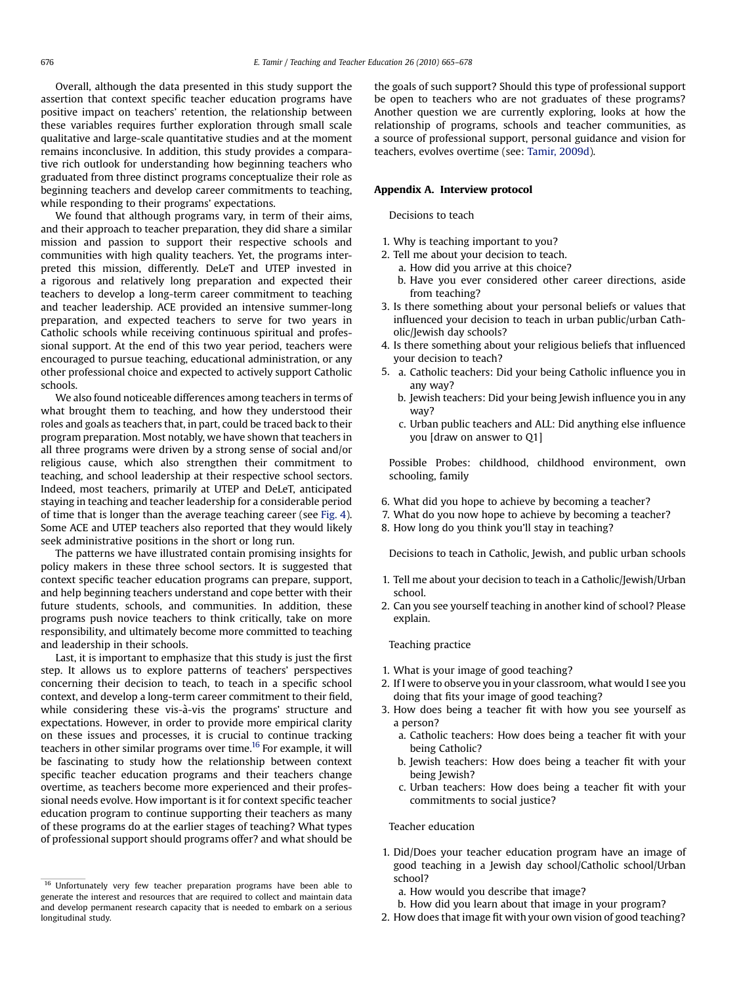<span id="page-11-0"></span>Overall, although the data presented in this study support the assertion that context specific teacher education programs have positive impact on teachers' retention, the relationship between these variables requires further exploration through small scale qualitative and large-scale quantitative studies and at the moment remains inconclusive. In addition, this study provides a comparative rich outlook for understanding how beginning teachers who graduated from three distinct programs conceptualize their role as beginning teachers and develop career commitments to teaching, while responding to their programs' expectations.

We found that although programs vary, in term of their aims, and their approach to teacher preparation, they did share a similar mission and passion to support their respective schools and communities with high quality teachers. Yet, the programs interpreted this mission, differently. DeLeT and UTEP invested in a rigorous and relatively long preparation and expected their teachers to develop a long-term career commitment to teaching and teacher leadership. ACE provided an intensive summer-long preparation, and expected teachers to serve for two years in Catholic schools while receiving continuous spiritual and professional support. At the end of this two year period, teachers were encouraged to pursue teaching, educational administration, or any other professional choice and expected to actively support Catholic schools.

We also found noticeable differences among teachers in terms of what brought them to teaching, and how they understood their roles and goals as teachers that, in part, could be traced back to their program preparation. Most notably, we have shown that teachers in all three programs were driven by a strong sense of social and/or religious cause, which also strengthen their commitment to teaching, and school leadership at their respective school sectors. Indeed, most teachers, primarily at UTEP and DeLeT, anticipated staying in teaching and teacher leadership for a considerable period of time that is longer than the average teaching career (see [Fig. 4\)](#page-6-0). Some ACE and UTEP teachers also reported that they would likely seek administrative positions in the short or long run.

The patterns we have illustrated contain promising insights for policy makers in these three school sectors. It is suggested that context specific teacher education programs can prepare, support, and help beginning teachers understand and cope better with their future students, schools, and communities. In addition, these programs push novice teachers to think critically, take on more responsibility, and ultimately become more committed to teaching and leadership in their schools.

Last, it is important to emphasize that this study is just the first step. It allows us to explore patterns of teachers' perspectives concerning their decision to teach, to teach in a specific school context, and develop a long-term career commitment to their field, while considering these vis-à-vis the programs' structure and expectations. However, in order to provide more empirical clarity on these issues and processes, it is crucial to continue tracking teachers in other similar programs over time.<sup>16</sup> For example, it will be fascinating to study how the relationship between context specific teacher education programs and their teachers change overtime, as teachers become more experienced and their professional needs evolve. How important is it for context specific teacher education program to continue supporting their teachers as many of these programs do at the earlier stages of teaching? What types of professional support should programs offer? and what should be the goals of such support? Should this type of professional support be open to teachers who are not graduates of these programs? Another question we are currently exploring, looks at how the relationship of programs, schools and teacher communities, as a source of professional support, personal guidance and vision for teachers, evolves overtime (see: [Tamir, 2009d](#page-13-0)).

## Appendix A. Interview protocol

Decisions to teach

- 1. Why is teaching important to you?
- 2. Tell me about your decision to teach.
	- a. How did you arrive at this choice?
	- b. Have you ever considered other career directions, aside from teaching?
- 3. Is there something about your personal beliefs or values that influenced your decision to teach in urban public/urban Catholic/Jewish day schools?
- 4. Is there something about your religious beliefs that influenced your decision to teach?
- 5. a. Catholic teachers: Did your being Catholic influence you in any way?
	- b. Jewish teachers: Did your being Jewish influence you in any way?
	- c. Urban public teachers and ALL: Did anything else influence you [draw on answer to Q1]

Possible Probes: childhood, childhood environment, own schooling, family

- 6. What did you hope to achieve by becoming a teacher?
- 7. What do you now hope to achieve by becoming a teacher?
- 8. How long do you think you'll stay in teaching?

Decisions to teach in Catholic, Jewish, and public urban schools

- 1. Tell me about your decision to teach in a Catholic/Jewish/Urban school.
- 2. Can you see yourself teaching in another kind of school? Please explain.

#### Teaching practice

- 1. What is your image of good teaching?
- 2. If I were to observe you in your classroom, what would I see you doing that fits your image of good teaching?
- 3. How does being a teacher fit with how you see yourself as a person?
	- a. Catholic teachers: How does being a teacher fit with your being Catholic?
	- b. Jewish teachers: How does being a teacher fit with your being Jewish?
	- c. Urban teachers: How does being a teacher fit with your commitments to social justice?

#### Teacher education

- 1. Did/Does your teacher education program have an image of good teaching in a Jewish day school/Catholic school/Urban school?
	- a. How would you describe that image?
	- b. How did you learn about that image in your program?
- 2. How does that image fit with your own vision of good teaching?

 $16$  Unfortunately very few teacher preparation programs have been able to generate the interest and resources that are required to collect and maintain data and develop permanent research capacity that is needed to embark on a serious longitudinal study.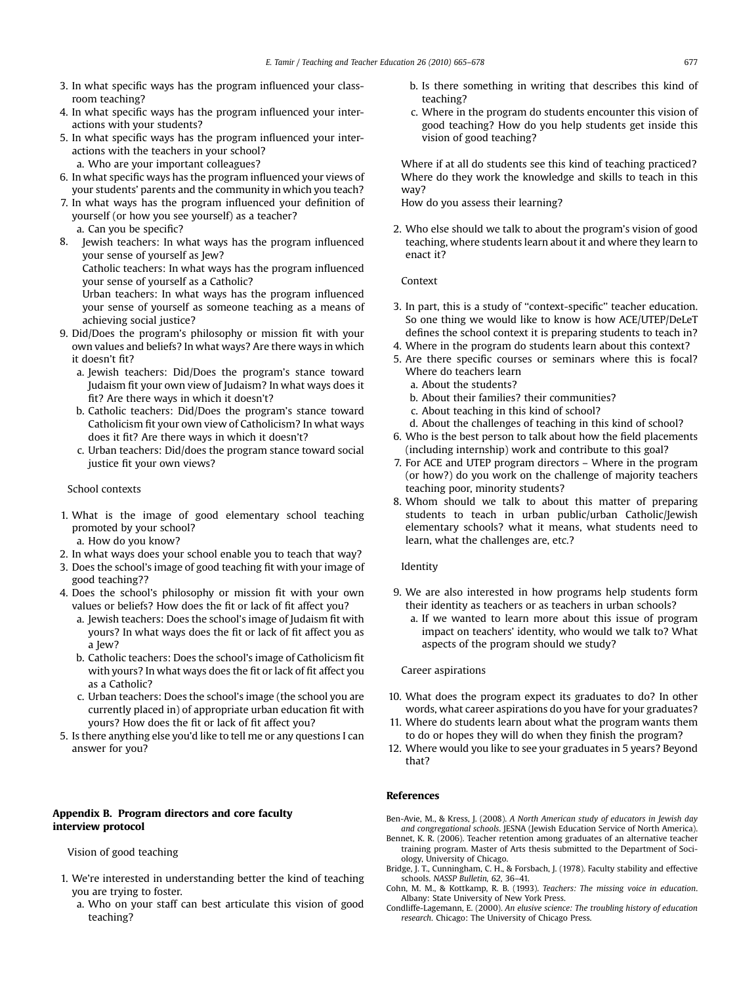- <span id="page-12-0"></span>3. In what specific ways has the program influenced your classroom teaching?
- 4. In what specific ways has the program influenced your interactions with your students?
- 5. In what specific ways has the program influenced your interactions with the teachers in your school? a. Who are your important colleagues?
- 6. In what specific ways has the program influenced your views of your students' parents and the community in which you teach?
- 7. In what ways has the program influenced your definition of yourself (or how you see yourself) as a teacher? a. Can you be specific?
- 8. Jewish teachers: In what ways has the program influenced your sense of yourself as Jew? Catholic teachers: In what ways has the program influenced your sense of yourself as a Catholic? Urban teachers: In what ways has the program influenced your sense of yourself as someone teaching as a means of
- achieving social justice? 9. Did/Does the program's philosophy or mission fit with your
- own values and beliefs? In what ways? Are there ways in which it doesn't fit?
	- a. Jewish teachers: Did/Does the program's stance toward Judaism fit your own view of Judaism? In what ways does it fit? Are there ways in which it doesn't?
	- b. Catholic teachers: Did/Does the program's stance toward Catholicism fit your own view of Catholicism? In what ways does it fit? Are there ways in which it doesn't?
	- c. Urban teachers: Did/does the program stance toward social justice fit your own views?

## School contexts

- 1. What is the image of good elementary school teaching promoted by your school?
- a. How do you know?
- 2. In what ways does your school enable you to teach that way?
- 3. Does the school's image of good teaching fit with your image of good teaching??
- 4. Does the school's philosophy or mission fit with your own values or beliefs? How does the fit or lack of fit affect you?
	- a. Jewish teachers: Does the school's image of Judaism fit with yours? In what ways does the fit or lack of fit affect you as a Jew?
	- b. Catholic teachers: Does the school's image of Catholicism fit with yours? In what ways does the fit or lack of fit affect you as a Catholic?
	- c. Urban teachers: Does the school's image (the school you are currently placed in) of appropriate urban education fit with yours? How does the fit or lack of fit affect you?
- 5. Is there anything else you'd like to tell me or any questions I can answer for you?

## Appendix B. Program directors and core faculty interview protocol

Vision of good teaching

- 1. We're interested in understanding better the kind of teaching you are trying to foster.
	- a. Who on your staff can best articulate this vision of good teaching?
- b. Is there something in writing that describes this kind of teaching?
- c. Where in the program do students encounter this vision of good teaching? How do you help students get inside this vision of good teaching?

Where if at all do students see this kind of teaching practiced? Where do they work the knowledge and skills to teach in this way?

How do you assess their learning?

2. Who else should we talk to about the program's vision of good teaching, where students learn about it and where they learn to enact it?

Context

- 3. In part, this is a study of ''context-specific'' teacher education. So one thing we would like to know is how ACE/UTEP/DeLeT defines the school context it is preparing students to teach in?
- 4. Where in the program do students learn about this context?
- 5. Are there specific courses or seminars where this is focal? Where do teachers learn
	- a. About the students?
	- b. About their families? their communities?
	- c. About teaching in this kind of school?
	- d. About the challenges of teaching in this kind of school?
- 6. Who is the best person to talk about how the field placements (including internship) work and contribute to this goal?
- 7. For ACE and UTEP program directors Where in the program (or how?) do you work on the challenge of majority teachers teaching poor, minority students?
- 8. Whom should we talk to about this matter of preparing students to teach in urban public/urban Catholic/Jewish elementary schools? what it means, what students need to learn, what the challenges are, etc.?

#### Identity

- 9. We are also interested in how programs help students form their identity as teachers or as teachers in urban schools?
	- a. If we wanted to learn more about this issue of program impact on teachers' identity, who would we talk to? What aspects of the program should we study?

Career aspirations

- 10. What does the program expect its graduates to do? In other words, what career aspirations do you have for your graduates?
- 11. Where do students learn about what the program wants them to do or hopes they will do when they finish the program?
- 12. Where would you like to see your graduates in 5 years? Beyond that?

## References

Ben-Avie, M., & Kress, J. (2008). A North American study of educators in Jewish day and congregational schools. JESNA (Jewish Education Service of North America).

- Bennet, K. R. (2006). Teacher retention among graduates of an alternative teacher training program. Master of Arts thesis submitted to the Department of Sociology, University of Chicago.
- Bridge, J. T., Cunningham, C. H., & Forsbach, J. (1978). Faculty stability and effective schools. NASSP Bulletin, 62, 36–41.
- Cohn, M. M., & Kottkamp, R. B. (1993). Teachers: The missing voice in education. Albany: State University of New York Press.
- Condliffe-Lagemann, E. (2000). An elusive science: The troubling history of education research. Chicago: The University of Chicago Press.